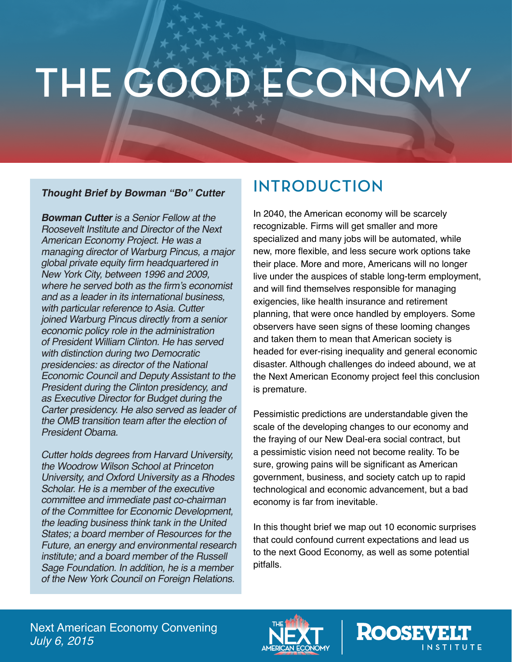# **THE GOOD ECONOMY**

#### **Thought Brief by Bowman "Bo" Cutter**

**Bowman Cutter** is a Senior Fellow at the Roosevelt Institute and Director of the Next American Economy Project. He was a managing director of Warburg Pincus, a major global private equity firm headquartered in New York City, between 1996 and 2009, where he served both as the firm's economist and as a leader in its international business, with particular reference to Asia. Cutter joined Warburg Pincus directly from a senior economic policy role in the administration of President William Clinton. He has served with distinction during two Democratic presidencies: as director of the National Economic Council and Deputy Assistant to the President during the Clinton presidency, and as Executive Director for Budget during the Carter presidency. He also served as leader of the OMB transition team after the election of President Obama.

Cutter holds degrees from Harvard University, the Woodrow Wilson School at Princeton University, and Oxford University as a Rhodes Scholar. He is a member of the executive committee and immediate past co-chairman of the Committee for Economic Development, the leading business think tank in the United States; a board member of Resources for the Future, an energy and environmental research institute; and a board member of the Russell Sage Foundation. In addition, he is a member of the New York Council on Foreign Relations.

# **INTRODUCTION**

In 2040, the American economy will be scarcely recognizable. Firms will get smaller and more specialized and many jobs will be automated, while new, more flexible, and less secure work options take their place. More and more, Americans will no longer live under the auspices of stable long-term employment, and will find themselves responsible for managing exigencies, like health insurance and retirement planning, that were once handled by employers. Some observers have seen signs of these looming changes and taken them to mean that American society is headed for ever-rising inequality and general economic disaster. Although challenges do indeed abound, we at the Next American Economy project feel this conclusion is premature.

Pessimistic predictions are understandable given the scale of the developing changes to our economy and the fraying of our New Deal-era social contract, but a pessimistic vision need not become reality. To be sure, growing pains will be significant as American government, business, and society catch up to rapid technological and economic advancement, but a bad economy is far from inevitable.

In this thought brief we map out 10 economic surprises that could confound current expectations and lead us to the next Good Economy, as well as some potential pitfalls.

Next American Economy Convening *July 6, 2015*



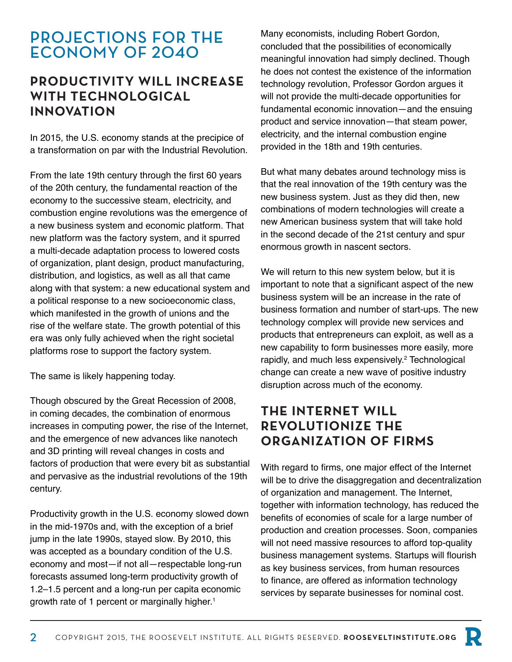## **PROJECTIONS FOR THE ECONOMY OF 2040**

#### **PRODUCTIVITY WILL INCREASE WITH TECHNOLOGICAL INNOVATION**

In 2015, the U.S. economy stands at the precipice of a transformation on par with the Industrial Revolution.

From the late 19th century through the first 60 years of the 20th century, the fundamental reaction of the economy to the successive steam, electricity, and combustion engine revolutions was the emergence of a new business system and economic platform. That new platform was the factory system, and it spurred a multi-decade adaptation process to lowered costs of organization, plant design, product manufacturing, distribution, and logistics, as well as all that came along with that system: a new educational system and a political response to a new socioeconomic class, which manifested in the growth of unions and the rise of the welfare state. The growth potential of this era was only fully achieved when the right societal platforms rose to support the factory system.

The same is likely happening today.

Though obscured by the Great Recession of 2008, in coming decades, the combination of enormous increases in computing power, the rise of the Internet, and the emergence of new advances like nanotech and 3D printing will reveal changes in costs and factors of production that were every bit as substantial and pervasive as the industrial revolutions of the 19th century.

Productivity growth in the U.S. economy slowed down in the mid-1970s and, with the exception of a brief jump in the late 1990s, stayed slow. By 2010, this was accepted as a boundary condition of the U.S. economy and most—if not all—respectable long-run forecasts assumed long-term productivity growth of 1.2–1.5 percent and a long-run per capita economic growth rate of 1 percent or marginally higher.<sup>1</sup>

Many economists, including Robert Gordon, concluded that the possibilities of economically meaningful innovation had simply declined. Though he does not contest the existence of the information technology revolution, Professor Gordon argues it will not provide the multi-decade opportunities for fundamental economic innovation—and the ensuing product and service innovation—that steam power, electricity, and the internal combustion engine provided in the 18th and 19th centuries.

But what many debates around technology miss is that the real innovation of the 19th century was the new business system. Just as they did then, new combinations of modern technologies will create a new American business system that will take hold in the second decade of the 21st century and spur enormous growth in nascent sectors.

We will return to this new system below, but it is important to note that a significant aspect of the new business system will be an increase in the rate of business formation and number of start-ups. The new technology complex will provide new services and products that entrepreneurs can exploit, as well as a new capability to form businesses more easily, more rapidly, and much less expensively.<sup>2</sup> Technological change can create a new wave of positive industry disruption across much of the economy.

#### **THE INTERNET WILL REVOLUTIONIZE THE ORGANIZATION OF FIRMS**

With regard to firms, one major effect of the Internet will be to drive the disaggregation and decentralization of organization and management. The Internet, together with information technology, has reduced the benefits of economies of scale for a large number of production and creation processes. Soon, companies will not need massive resources to afford top-quality business management systems. Startups will flourish as key business services, from human resources to finance, are offered as information technology services by separate businesses for nominal cost.

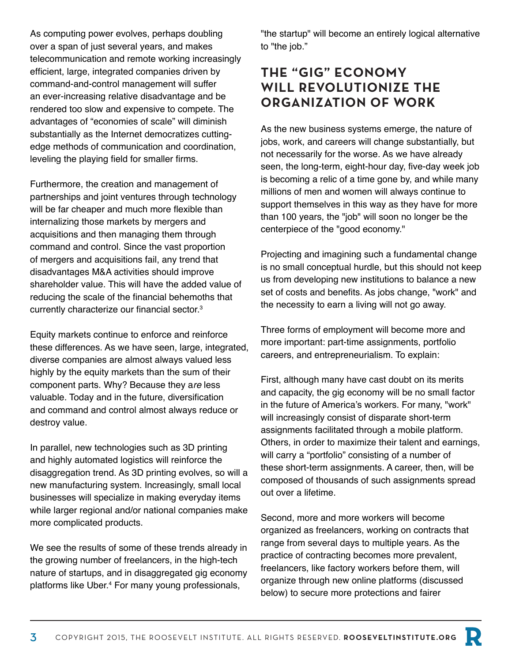As computing power evolves, perhaps doubling over a span of just several years, and makes telecommunication and remote working increasingly efficient, large, integrated companies driven by command-and-control management will suffer an ever-increasing relative disadvantage and be rendered too slow and expensive to compete. The advantages of "economies of scale" will diminish substantially as the Internet democratizes cuttingedge methods of communication and coordination, leveling the playing field for smaller firms.

Furthermore, the creation and management of partnerships and joint ventures through technology will be far cheaper and much more flexible than internalizing those markets by mergers and acquisitions and then managing them through command and control. Since the vast proportion of mergers and acquisitions fail, any trend that disadvantages M&A activities should improve shareholder value. This will have the added value of reducing the scale of the financial behemoths that currently characterize our financial sector.<sup>3</sup>

Equity markets continue to enforce and reinforce these differences. As we have seen, large, integrated, diverse companies are almost always valued less highly by the equity markets than the sum of their component parts. Why? Because they a*re* less valuable. Today and in the future, diversification and command and control almost always reduce or destroy value.

In parallel, new technologies such as 3D printing and highly automated logistics will reinforce the disaggregation trend. As 3D printing evolves, so will a new manufacturing system. Increasingly, small local businesses will specialize in making everyday items while larger regional and/or national companies make more complicated products.

We see the results of some of these trends already in the growing number of freelancers, in the high-tech nature of startups, and in disaggregated gig economy platforms like Uber.<sup>4</sup> For many young professionals,

"the startup" will become an entirely logical alternative to "the job."

#### **THE "GIG" ECONOMY WILL REVOLUTIONIZE THE ORGANIZATION OF WORK**

As the new business systems emerge, the nature of jobs, work, and careers will change substantially, but not necessarily for the worse. As we have already seen, the long-term, eight-hour day, five-day week job is becoming a relic of a time gone by, and while many millions of men and women will always continue to support themselves in this way as they have for more than 100 years, the "job" will soon no longer be the centerpiece of the "good economy."

Projecting and imagining such a fundamental change is no small conceptual hurdle, but this should not keep us from developing new institutions to balance a new set of costs and benefits. As jobs change, "work" and the necessity to earn a living will not go away.

Three forms of employment will become more and more important: part-time assignments, portfolio careers, and entrepreneurialism. To explain:

First, although many have cast doubt on its merits and capacity, the gig economy will be no small factor in the future of America's workers. For many, "work" will increasingly consist of disparate short-term assignments facilitated through a mobile platform. Others, in order to maximize their talent and earnings, will carry a "portfolio" consisting of a number of these short-term assignments. A career, then, will be composed of thousands of such assignments spread out over a lifetime.

Second, more and more workers will become organized as freelancers, working on contracts that range from several days to multiple years. As the practice of contracting becomes more prevalent, freelancers, like factory workers before them, will organize through new online platforms (discussed below) to secure more protections and fairer

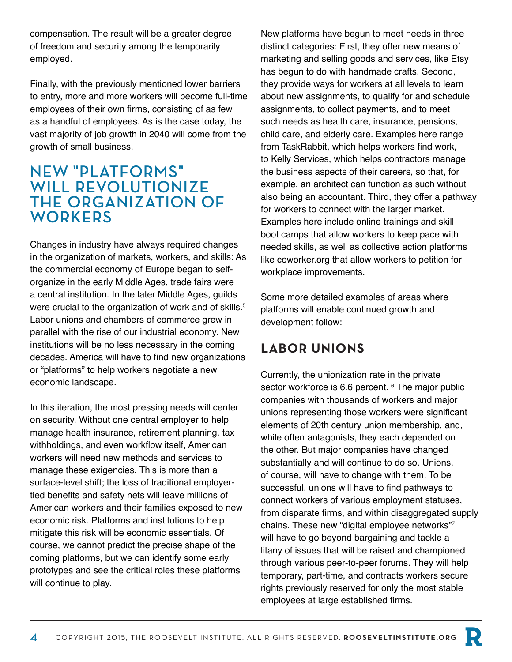compensation. The result will be a greater degree of freedom and security among the temporarily employed.

Finally, with the previously mentioned lower barriers to entry, more and more workers will become full-time employees of their own firms, consisting of as few as a handful of employees. As is the case today, the vast majority of job growth in 2040 will come from the growth of small business.

#### **NEW "PLATFORMS" WILL REVOLUTIONIZE THE ORGANIZATION OF WORKERS**

Changes in industry have always required changes in the organization of markets, workers, and skills: As the commercial economy of Europe began to selforganize in the early Middle Ages, trade fairs were a central institution. In the later Middle Ages, guilds were crucial to the organization of work and of skills.<sup>5</sup> Labor unions and chambers of commerce grew in parallel with the rise of our industrial economy. New institutions will be no less necessary in the coming decades. America will have to find new organizations or "platforms" to help workers negotiate a new economic landscape.

In this iteration, the most pressing needs will center on security. Without one central employer to help manage health insurance, retirement planning, tax withholdings, and even workflow itself, American workers will need new methods and services to manage these exigencies. This is more than a surface-level shift; the loss of traditional employertied benefits and safety nets will leave millions of American workers and their families exposed to new economic risk. Platforms and institutions to help mitigate this risk will be economic essentials. Of course, we cannot predict the precise shape of the coming platforms, but we can identify some early prototypes and see the critical roles these platforms will continue to play.

New platforms have begun to meet needs in three distinct categories: First, they offer new means of marketing and selling goods and services, like Etsy has begun to do with handmade crafts. Second, they provide ways for workers at all levels to learn about new assignments, to qualify for and schedule assignments, to collect payments, and to meet such needs as health care, insurance, pensions, child care, and elderly care. Examples here range from TaskRabbit, which helps workers find work, to Kelly Services, which helps contractors manage the business aspects of their careers, so that, for example, an architect can function as such without also being an accountant. Third, they offer a pathway for workers to connect with the larger market. Examples here include online trainings and skill boot camps that allow workers to keep pace with needed skills, as well as collective action platforms like coworker.org that allow workers to petition for workplace improvements.

Some more detailed examples of areas where platforms will enable continued growth and development follow:

## **LABOR UNIONS**

Currently, the unionization rate in the private sector workforce is 6.6 percent. <sup>6</sup> The major public companies with thousands of workers and major unions representing those workers were significant elements of 20th century union membership, and, while often antagonists, they each depended on the other. But major companies have changed substantially and will continue to do so. Unions, of course, will have to change with them. To be successful, unions will have to find pathways to connect workers of various employment statuses, from disparate firms, and within disaggregated supply chains. These new "digital employee networks"7 will have to go beyond bargaining and tackle a litany of issues that will be raised and championed through various peer-to-peer forums. They will help temporary, part-time, and contracts workers secure rights previously reserved for only the most stable employees at large established firms.

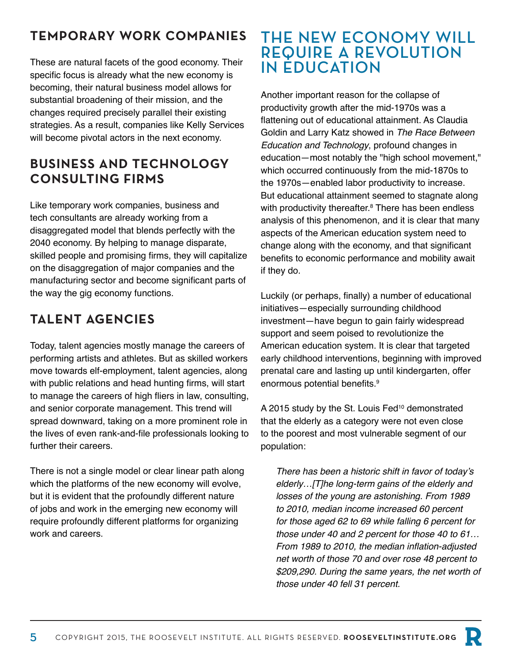#### **TEMPORARY WORK COMPANIES**

These are natural facets of the good economy. Their specific focus is already what the new economy is becoming, their natural business model allows for substantial broadening of their mission, and the changes required precisely parallel their existing strategies. As a result, companies like Kelly Services will become pivotal actors in the next economy.

### **BUSINESS AND TECHNOLOGY CONSULTING FIRMS**

Like temporary work companies, business and tech consultants are already working from a disaggregated model that blends perfectly with the 2040 economy. By helping to manage disparate, skilled people and promising firms, they will capitalize on the disaggregation of major companies and the manufacturing sector and become significant parts of the way the gig economy functions.

# **TALENT AGENCIES**

Today, talent agencies mostly manage the careers of performing artists and athletes. But as skilled workers move towards elf-employment, talent agencies, along with public relations and head hunting firms, will start to manage the careers of high fliers in law, consulting, and senior corporate management. This trend will spread downward, taking on a more prominent role in the lives of even rank-and-file professionals looking to further their careers.

There is not a single model or clear linear path along which the platforms of the new economy will evolve, but it is evident that the profoundly different nature of jobs and work in the emerging new economy will require profoundly different platforms for organizing work and careers.

# **THE NEW ECONOMY WILL REQUIRE A REVOLUTION IN EDUCATION**

Another important reason for the collapse of productivity growth after the mid-1970s was a flattening out of educational attainment. As Claudia Goldin and Larry Katz showed in *The Race Between Education and Technology*, profound changes in education—most notably the "high school movement," which occurred continuously from the mid-1870s to the 1970s—enabled labor productivity to increase. But educational attainment seemed to stagnate along with productivity thereafter.<sup>8</sup> There has been endless analysis of this phenomenon, and it is clear that many aspects of the American education system need to change along with the economy, and that significant benefits to economic performance and mobility await if they do.

Luckily (or perhaps, finally) a number of educational initiatives—especially surrounding childhood investment—have begun to gain fairly widespread support and seem poised to revolutionize the American education system. It is clear that targeted early childhood interventions, beginning with improved prenatal care and lasting up until kindergarten, offer enormous potential benefits.<sup>9</sup>

A 2015 study by the St. Louis Fed<sup>10</sup> demonstrated that the elderly as a category were not even close to the poorest and most vulnerable segment of our population:

There has been a historic shift in favor of today's *elderly…[T]he long-term gains of the elderly and losses of the young are astonishing. From 1989 to 2010, median income increased 60 percent for those aged 62 to 69 while falling 6 percent for those under 40 and 2 percent for those 40 to 61…* From 1989 to 2010, the median inflation-adjusted *net worth of those 70 and over rose 48 percent to \$209,290. During the same years, the net worth of those under 40 fell 31 percent.*

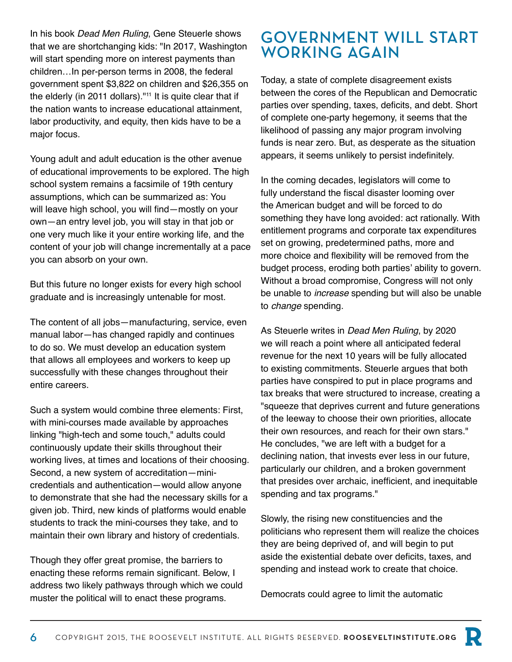In his book *Dead Men Ruling*, Gene Steuerle shows that we are shortchanging kids: "In 2017, Washington will start spending more on interest payments than children…In per-person terms in 2008, the federal government spent \$3,822 on children and \$26,355 on the elderly (in 2011 dollars)."<sup>11</sup> It is quite clear that if the nation wants to increase educational attainment, labor productivity, and equity, then kids have to be a major focus.

Young adult and adult education is the other avenue of educational improvements to be explored. The high school system remains a facsimile of 19th century assumptions, which can be summarized as: You will leave high school, you will find—mostly on your own—an entry level job, you will stay in that job or one very much like it your entire working life, and the content of your job will change incrementally at a pace you can absorb on your own.

But this future no longer exists for every high school graduate and is increasingly untenable for most.

The content of all jobs—manufacturing, service, even manual labor—has changed rapidly and continues to do so. We must develop an education system that allows all employees and workers to keep up successfully with these changes throughout their entire careers.

Such a system would combine three elements: First, with mini-courses made available by approaches linking "high-tech and some touch," adults could continuously update their skills throughout their working lives, at times and locations of their choosing. Second, a new system of accreditation—minicredentials and authentication—would allow anyone to demonstrate that she had the necessary skills for a given job. Third, new kinds of platforms would enable students to track the mini-courses they take, and to maintain their own library and history of credentials.

Though they offer great promise, the barriers to enacting these reforms remain significant. Below, I address two likely pathways through which we could muster the political will to enact these programs.

# **GOVERNMENT WILL START WORKING AGAIN**

Today, a state of complete disagreement exists between the cores of the Republican and Democratic parties over spending, taxes, deficits, and debt. Short of complete one-party hegemony, it seems that the likelihood of passing any major program involving funds is near zero. But, as desperate as the situation appears, it seems unlikely to persist indefinitely.

In the coming decades, legislators will come to fully understand the fiscal disaster looming over the American budget and will be forced to do something they have long avoided: act rationally. With entitlement programs and corporate tax expenditures set on growing, predetermined paths, more and more choice and flexibility will be removed from the budget process, eroding both parties' ability to govern. Without a broad compromise, Congress will not only be unable to *increase* spending but will also be unable to *change* spending.

As Steuerle writes in *Dead Men Ruling*, by 2020 we will reach a point where all anticipated federal revenue for the next 10 years will be fully allocated to existing commitments. Steuerle argues that both parties have conspired to put in place programs and tax breaks that were structured to increase, creating a "squeeze that deprives current and future generations of the leeway to choose their own priorities, allocate their own resources, and reach for their own stars." He concludes, "we are left with a budget for a declining nation, that invests ever less in our future, particularly our children, and a broken government that presides over archaic, inefficient, and inequitable spending and tax programs."

Slowly, the rising new constituencies and the politicians who represent them will realize the choices they are being deprived of, and will begin to put aside the existential debate over deficits, taxes, and spending and instead work to create that choice.

Democrats could agree to limit the automatic

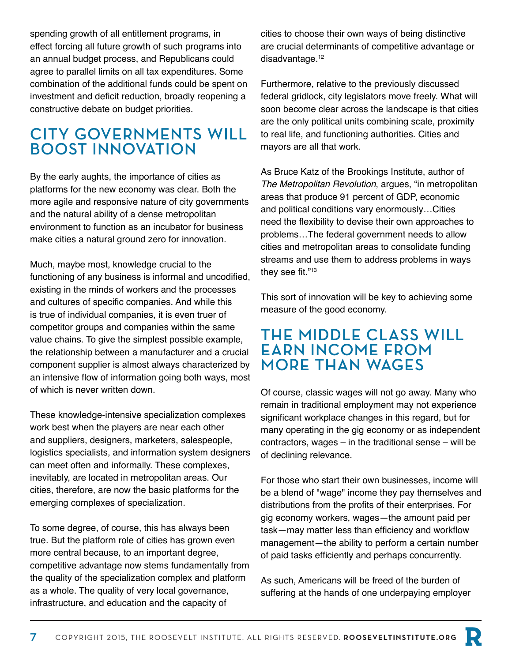spending growth of all entitlement programs, in effect forcing all future growth of such programs into an annual budget process, and Republicans could agree to parallel limits on all tax expenditures. Some combination of the additional funds could be spent on investment and deficit reduction, broadly reopening a constructive debate on budget priorities.

# **CITY GOVERNMENTS WILL BOOST INNOVATION**

By the early aughts, the importance of cities as platforms for the new economy was clear. Both the more agile and responsive nature of city governments and the natural ability of a dense metropolitan environment to function as an incubator for business make cities a natural ground zero for innovation.

Much, maybe most, knowledge crucial to the functioning of any business is informal and uncodified, existing in the minds of workers and the processes and cultures of specific companies. And while this is true of individual companies, it is even truer of competitor groups and companies within the same value chains. To give the simplest possible example, the relationship between a manufacturer and a crucial component supplier is almost always characterized by an intensive flow of information going both ways, most of which is never written down.

These knowledge-intensive specialization complexes work best when the players are near each other and suppliers, designers, marketers, salespeople, logistics specialists, and information system designers can meet often and informally. These complexes, inevitably, are located in metropolitan areas. Our cities, therefore, are now the basic platforms for the emerging complexes of specialization.

To some degree, of course, this has always been true. But the platform role of cities has grown even more central because, to an important degree, competitive advantage now stems fundamentally from the quality of the specialization complex and platform as a whole. The quality of very local governance, infrastructure, and education and the capacity of

cities to choose their own ways of being distinctive are crucial determinants of competitive advantage or disadvantage.<sup>12</sup>

Furthermore, relative to the previously discussed federal gridlock, city legislators move freely. What will soon become clear across the landscape is that cities are the only political units combining scale, proximity to real life, and functioning authorities. Cities and mayors are all that work.

As Bruce Katz of the Brookings Institute, author of *The Metropolitan Revolution*, argues, "in metropolitan areas that produce 91 percent of GDP, economic and political conditions vary enormously…Cities need the flexibility to devise their own approaches to problems…The federal government needs to allow cities and metropolitan areas to consolidate funding streams and use them to address problems in ways they see fit."<sup>13</sup>

This sort of innovation will be key to achieving some measure of the good economy.

#### **THE MIDDLE CLASS WILL EARN INCOME FROM MORE THAN WAGES**

Of course, classic wages will not go away. Many who remain in traditional employment may not experience significant workplace changes in this regard, but for many operating in the gig economy or as independent contractors, wages – in the traditional sense – will be of declining relevance.

For those who start their own businesses, income will be a blend of "wage" income they pay themselves and distributions from the profits of their enterprises. For gig economy workers, wages—the amount paid per task—may matter less than efficiency and workflow management—the ability to perform a certain number of paid tasks efficiently and perhaps concurrently.

As such, Americans will be freed of the burden of suffering at the hands of one underpaying employer

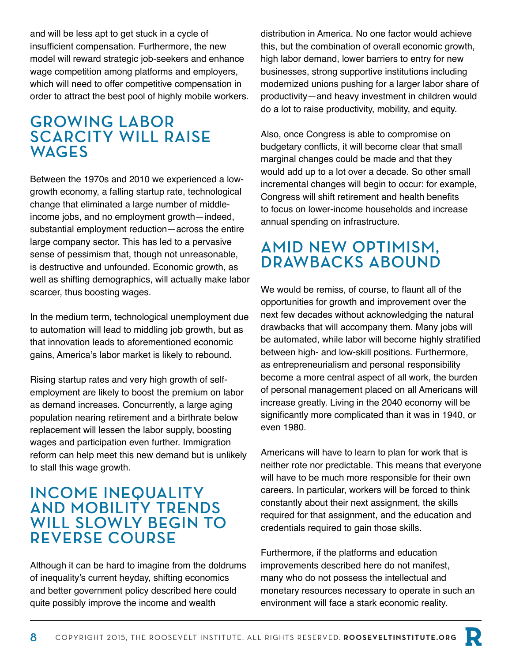and will be less apt to get stuck in a cycle of insufficient compensation. Furthermore, the new model will reward strategic job-seekers and enhance wage competition among platforms and employers, which will need to offer competitive compensation in order to attract the best pool of highly mobile workers.

## **GROWING LABOR SCARCITY WILL RAISE WAGES**

Between the 1970s and 2010 we experienced a lowgrowth economy, a falling startup rate, technological change that eliminated a large number of middleincome jobs, and no employment growth—indeed, substantial employment reduction—across the entire large company sector. This has led to a pervasive sense of pessimism that, though not unreasonable, is destructive and unfounded. Economic growth, as well as shifting demographics, will actually make labor scarcer, thus boosting wages.

In the medium term, technological unemployment due to automation will lead to middling job growth, but as that innovation leads to aforementioned economic gains, America's labor market is likely to rebound.

Rising startup rates and very high growth of selfemployment are likely to boost the premium on labor as demand increases. Concurrently, a large aging population nearing retirement and a birthrate below replacement will lessen the labor supply, boosting wages and participation even further. Immigration reform can help meet this new demand but is unlikely to stall this wage growth.

#### **INCOME INEQUALITY AND MOBILITY TRENDS WILL SLOWLY BEGIN TO REVERSE COURSE**

Although it can be hard to imagine from the doldrums of inequality's current heyday, shifting economics and better government policy described here could quite possibly improve the income and wealth

distribution in America. No one factor would achieve this, but the combination of overall economic growth, high labor demand, lower barriers to entry for new businesses, strong supportive institutions including modernized unions pushing for a larger labor share of productivity—and heavy investment in children would do a lot to raise productivity, mobility, and equity.

Also, once Congress is able to compromise on budgetary conflicts, it will become clear that small marginal changes could be made and that they would add up to a lot over a decade. So other small incremental changes will begin to occur: for example, Congress will shift retirement and health benefits to focus on lower-income households and increase annual spending on infrastructure.

# **AMID NEW OPTIMISM, DRAWBACKS ABOUND**

We would be remiss, of course, to flaunt all of the opportunities for growth and improvement over the next few decades without acknowledging the natural drawbacks that will accompany them. Many jobs will be automated, while labor will become highly stratified between high- and low-skill positions. Furthermore, as entrepreneurialism and personal responsibility become a more central aspect of all work, the burden of personal management placed on all Americans will increase greatly. Living in the 2040 economy will be significantly more complicated than it was in 1940, or even 1980.

Americans will have to learn to plan for work that is neither rote nor predictable. This means that everyone will have to be much more responsible for their own careers. In particular, workers will be forced to think constantly about their next assignment, the skills required for that assignment, and the education and credentials required to gain those skills.

Furthermore, if the platforms and education improvements described here do not manifest, many who do not possess the intellectual and monetary resources necessary to operate in such an environment will face a stark economic reality.

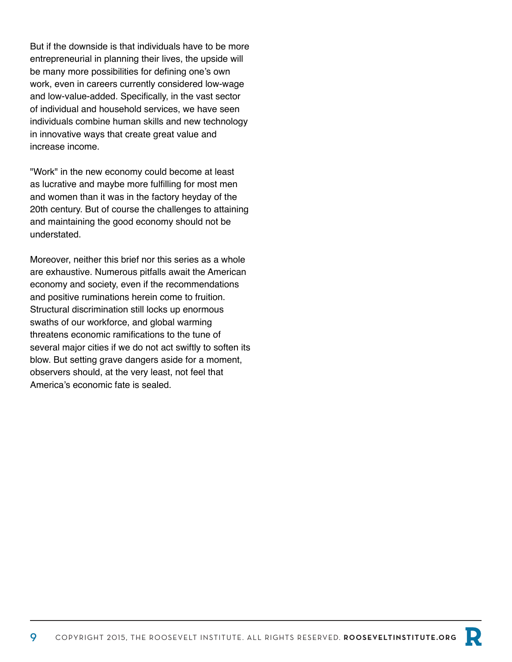But if the downside is that individuals have to be more entrepreneurial in planning their lives, the upside will be many more possibilities for defining one's own work, even in careers currently considered low-wage and low-value-added. Specifically, in the vast sector of individual and household services, we have seen individuals combine human skills and new technology in innovative ways that create great value and increase income.

"Work" in the new economy could become at least as lucrative and maybe more fulfilling for most men and women than it was in the factory heyday of the 20th century. But of course the challenges to attaining and maintaining the good economy should not be understated.

Moreover, neither this brief nor this series as a whole are exhaustive. Numerous pitfalls await the American economy and society, even if the recommendations and positive ruminations herein come to fruition. Structural discrimination still locks up enormous swaths of our workforce, and global warming threatens economic ramifications to the tune of several major cities if we do not act swiftly to soften its blow. But setting grave dangers aside for a moment, observers should, at the very least, not feel that America's economic fate is sealed.

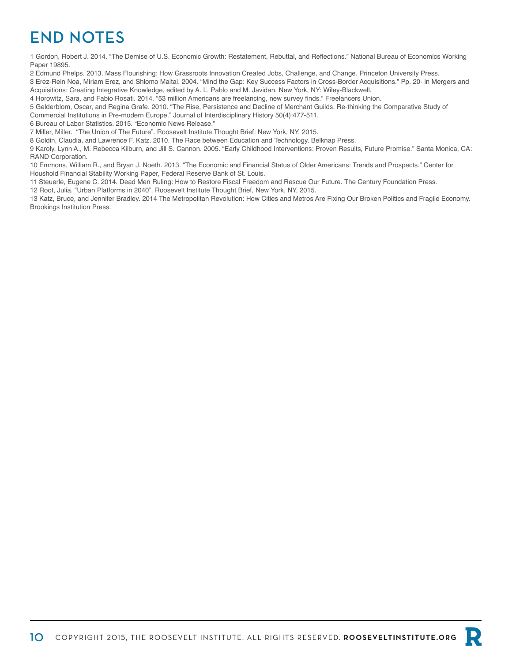# **END NOTES**

1 Gordon, Robert J. 2014. "The Demise of U.S. Economic Growth: Restatement, Rebuttal, and Reflections." National Bureau of Economics Working Paper 19895.

2 Edmund Phelps. 2013. Mass Flourishing: How Grassroots Innovation Created Jobs, Challenge, and Change. Princeton University Press.

3 Erez-Rein Noa, Miriam Erez, and Shlomo Maital. 2004. "Mind the Gap: Key Success Factors in Cross-Border Acquisitions." Pp. 20- in Mergers and Acquisitions: Creating Integrative Knowledge, edited by A. L. Pablo and M. Javidan. New York, NY: Wiley-Blackwell.

4 Horowitz, Sara, and Fabio Rosati. 2014. "53 million Americans are freelancing, new survey finds." Freelancers Union.

5 Gelderblom, Oscar, and Regina Grafe. 2010. "The Rise, Persistence and Decline of Merchant Guilds. Re-thinking the Comparative Study of

Commercial Institutions in Pre-modern Europe." Journal of Interdisciplinary History 50(4):477-511.

6 Bureau of Labor Statistics. 2015. "Economic News Release."

7 Miller, Miller. "The Union of The Future". Roosevelt Institute Thought Brief: New York, NY, 2015.

8 Goldin, Claudia, and Lawrence F. Katz. 2010. The Race between Education and Technology. Belknap Press.

9 Karoly, Lynn A., M. Rebecca Kilburn, and Jill S. Cannon. 2005. "Early Childhood Interventions: Proven Results, Future Promise." Santa Monica, CA: RAND Corporation.

10 Emmons, William R., and Bryan J. Noeth. 2013. "The Economic and Financial Status of Older Americans: Trends and Prospects." Center for Houshold Financial Stability Working Paper, Federal Reserve Bank of St. Louis.

11 Steuerle, Eugene C. 2014. Dead Men Ruling: How to Restore Fiscal Freedom and Rescue Our Future. The Century Foundation Press.

12 Root, Julia. "Urban Platforms in 2040". Roosevelt Institute Thought Brief, New York, NY, 2015.

13 Katz, Bruce, and Jennifer Bradley. 2014 The Metropolitan Revolution: How Cities and Metros Are Fixing Our Broken Politics and Fragile Economy. Brookings Institution Press.